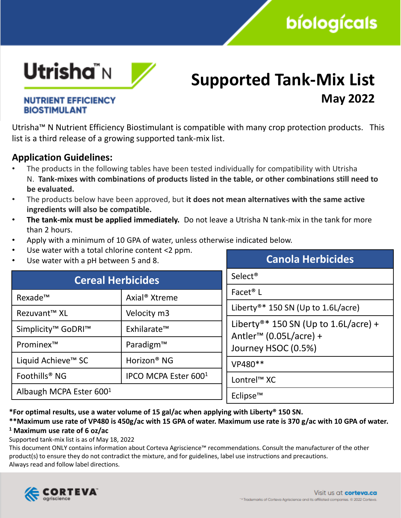# **bíologícals**



### **Supported Tank-Mix List May 2022**

### **NUTRIENT EFFICIENCY BIOSTIMULANT**

Utrisha™ N Nutrient Efficiency Biostimulant is compatible with many crop protection products. This list is a third release of a growing supported tank-mix list.

### **Application Guidelines:**

- The products in the following tables have been tested individually for compatibility with Utrisha N. **Tank-mixes with combinations of products listed in the table, or other combinations still need to be evaluated.**
- The products below have been approved, but **it does not mean alternatives with the same active ingredients will also be compatible.**
- **The tank-mix must be applied immediately.** Do not leave a Utrisha N tank-mix in the tank for more than 2 hours.
- Apply with a minimum of 10 GPA of water, unless otherwise indicated below.
- Use water with a total chlorine content  $<$ 2 ppm.
- Use water with a pH between 5 and 8.

| Ose water with a pri between 5 and 8.      |                                  | Canola Hei Miciaco                               |  |
|--------------------------------------------|----------------------------------|--------------------------------------------------|--|
| <b>Cereal Herbicides</b>                   |                                  | Select <sup>®</sup>                              |  |
| Axial <sup>®</sup> Xtreme<br>Rexade™       |                                  | Facet <sup>®</sup> L                             |  |
| Rezuvant™ XL                               | Velocity m3                      | Liberty®* 150 SN (Up to 1.6L/acre)               |  |
| Simplicity <sup>™</sup> GoDRI <sup>™</sup> | Exhilarate™                      | Liberty <sup>®*</sup> 150 SN (Up to 1.6L/acre) + |  |
| Prominex <sup>™</sup>                      | Paradigm™                        | Antler <sup>™</sup> (0.05L/acre) +               |  |
|                                            |                                  | Journey HSOC (0.5%)                              |  |
| Liquid Achieve <sup>™</sup> SC             | Horizon <sup>®</sup> NG          | VP480**                                          |  |
| Foothills <sup>®</sup> NG                  | IPCO MCPA Ester 600 <sup>1</sup> | Lontrel <sup>™</sup> XC                          |  |
| Albaugh MCPA Ester 600 <sup>1</sup>        |                                  | Eclipse™                                         |  |

**\*For optimal results, use a water volume of 15 gal/ac when applying with Liberty® 150 SN.**

#### **\*\*Maximum use rate of VP480 is 450g/ac with 15 GPA of water. Maximum use rate is 370 g/ac with 10 GPA of water. <sup>1</sup> Maximum use rate of 6 oz/ac**

Supported tank-mix list is as of May 18, 2022

This document ONLY contains information about Corteva Agriscience™ recommendations. Consult the manufacturer of the other product(s) to ensure they do not contradict the mixture, and for guidelines, label use instructions and precautions. Always read and follow label directions.



**Canola Herbicides**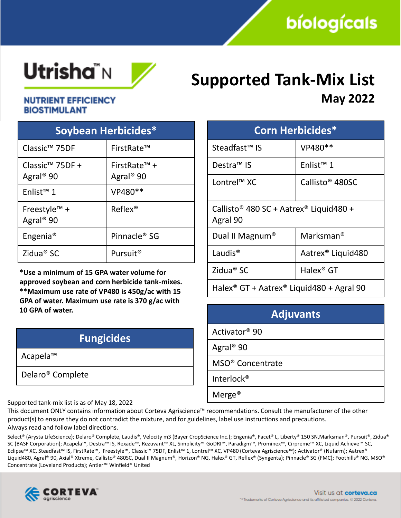# **Utrisha**"N



## **Supported Tank-Mix List May 2022**

### **NUTRIENT EFFICIENCY BIOSTIMULANT**

| Soybean Herbicides*                                  |                                                   |  |  |  |
|------------------------------------------------------|---------------------------------------------------|--|--|--|
| Classic <sup>™</sup> 75DF                            | FirstRate™                                        |  |  |  |
| Classic <sup>™</sup> 75DF +<br>Agral <sup>®</sup> 90 | FirstRate <sup>™</sup> +<br>Agral <sup>®</sup> 90 |  |  |  |
| Enlist <sup>™</sup> 1                                | VP480**                                           |  |  |  |
| Freestyle <sup>TM</sup> +<br>Agral <sup>®</sup> 90   | $Reflex^{\circledR}$                              |  |  |  |
| Engenia <sup>®</sup>                                 | Pinnacle <sup>®</sup> SG                          |  |  |  |
| Zidua <sup>®</sup> SC                                | Pursuit <sup>®</sup>                              |  |  |  |

**\*Use a minimum of 15 GPA water volume for approved soybean and corn herbicide tank-mixes. \*\*Maximum use rate of VP480 is 450g/ac with 15 GPA of water. Maximum use rate is 370 g/ac with 10 GPA of water.**

| <b>Fungicides</b>            |  |
|------------------------------|--|
| Acapela™                     |  |
| Delaro <sup>®</sup> Complete |  |
|                              |  |

|  |                         | <u>e. Le le crispe de la comme de la crispe de la c</u><br><b>May 2022</b> |
|--|-------------------------|----------------------------------------------------------------------------|
|  | <b>Corn Herbicides*</b> |                                                                            |

| CONNINGI MICIO                                                             |                               |  |
|----------------------------------------------------------------------------|-------------------------------|--|
| Steadfast <sup>™</sup> IS                                                  | VP480**                       |  |
| Destra <sup>™</sup> IS                                                     | Enlist <sup>™</sup> 1         |  |
| Lontrel <sup>™</sup> XC                                                    | Callisto <sup>®</sup> 480SC   |  |
| Callisto <sup>®</sup> 480 SC + Aatrex <sup>®</sup> Liquid480 +<br>Agral 90 |                               |  |
| Dual II Magnum®                                                            | Marksman <sup>®</sup>         |  |
| Laudis <sup>®</sup>                                                        | Aatrex <sup>®</sup> Liquid480 |  |
| Zidua <sup>®</sup> SC                                                      | Halex <sup>®</sup> GT         |  |
| Halex <sup>®</sup> GT + Aatrex <sup>®</sup> Liquid480 + Agral 90           |                               |  |

| <b>Adjuvants</b>             |  |
|------------------------------|--|
| Activator <sup>®</sup> 90    |  |
| Agral <sup>®</sup> 90        |  |
| MSO <sup>®</sup> Concentrate |  |
| Interlock <sup>®</sup>       |  |
| Merge <sup>®</sup>           |  |

Supported tank-mix list is as of May 18, 2022

This document ONLY contains information about Corteva Agriscience™ recommendations. Consult the manufacturer of the other product(s) to ensure they do not contradict the mixture, and for guidelines, label use instructions and precautions. Always read and follow label directions.

Select® (Arysta LifeScience); Delaro® Complete, Laudis®, Velocity m3 (Bayer CropScience Inc.); Engenia®, Facet® L, Liberty® 150 SN,Marksman®, Pursuit®, Zidua® SC (BASF Corporation); Acapela™, Destra™ IS, Rexade™, Rezuvant™ XL, Simplicity™ GoDRI™, Paradigm™, Prominex™, Cirpreme™ XC, Liquid Achieve™ SC, Eclipse™ XC, Steadfast™ IS, FirstRate™, Freestyle™, Classic™ 75DF, Enlist™ 1, Lontrel™ XC, VP480 (Corteva Agriscience™); Activator® (Nufarm); Aatrex® Liquid480, Agral® 90, Axial® Xtreme, Callisto® 480SC, Dual II Magnum®, Horizon® NG, Halex® GT, Reflex® (Syngenta); Pinnacle® SG (FMC); Foothills® NG, MSO® Concentrate (Loveland Products); Antler™ Winfield® United